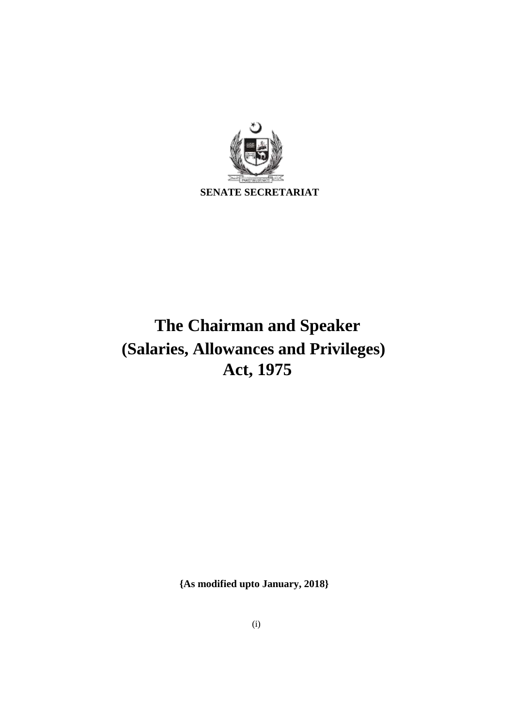

# **The Chairman and Speaker (Salaries, Allowances and Privileges) Act, 1975**

**{As modified upto January, 2018}**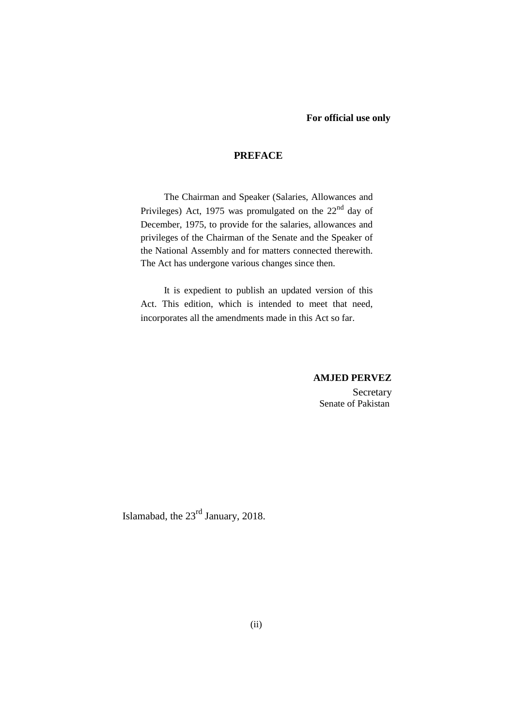## **PREFACE**

The Chairman and Speaker (Salaries, Allowances and Privileges) Act, 1975 was promulgated on the 22<sup>nd</sup> day of December, 1975, to provide for the salaries, allowances and privileges of the Chairman of the Senate and the Speaker of the National Assembly and for matters connected therewith. The Act has undergone various changes since then.

It is expedient to publish an updated version of this Act. This edition, which is intended to meet that need, incorporates all the amendments made in this Act so far.

#### **AMJED PERVEZ**

Secretary Senate of Pakistan

Islamabad, the 23rd January, 2018.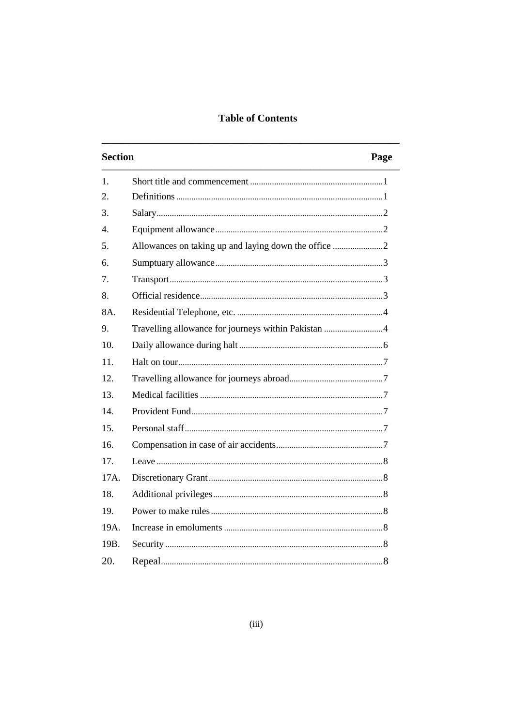## **Table of Contents**

| <b>Section</b>   |                                                     | Page |
|------------------|-----------------------------------------------------|------|
| $\mathbf{1}$ .   |                                                     |      |
| 2.               |                                                     |      |
| 3.               |                                                     |      |
| $\overline{4}$ . |                                                     |      |
| 5.               |                                                     |      |
| 6.               |                                                     |      |
| 7.               |                                                     |      |
| 8.               |                                                     |      |
| 8A.              |                                                     |      |
| 9.               | Travelling allowance for journeys within Pakistan 4 |      |
| 10.              |                                                     |      |
| 11.              |                                                     |      |
| 12.              |                                                     |      |
| 13 <sup>2</sup>  |                                                     |      |
| 14.              |                                                     |      |
| 15.              |                                                     |      |
| 16.              |                                                     |      |
| 17.              |                                                     |      |
| 17A.             |                                                     |      |
| 18.              |                                                     |      |
| 19.              |                                                     |      |
| 19A.             |                                                     |      |
| 19B.             |                                                     |      |
| 20.              |                                                     |      |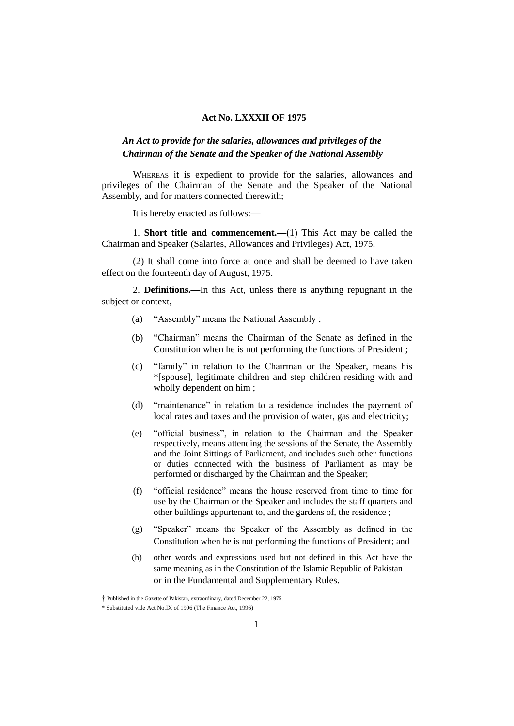### **Act No. LXXXII OF 1975**

## *An Act to provide for the salaries, allowances and privileges of the Chairman of the Senate and the Speaker of the National Assembly*

WHEREAS it is expedient to provide for the salaries, allowances and privileges of the Chairman of the Senate and the Speaker of the National Assembly, and for matters connected therewith;

It is hereby enacted as follows:—

1. **Short title and commencement.—**(1) This Act may be called the Chairman and Speaker (Salaries, Allowances and Privileges) Act, 1975.

(2) It shall come into force at once and shall be deemed to have taken effect on the fourteenth day of August, 1975.

2. **Definitions.—**In this Act, unless there is anything repugnant in the subject or context,—

- (a) "Assembly" means the National Assembly ;
- (b) "Chairman" means the Chairman of the Senate as defined in the Constitution when he is not performing the functions of President ;
- (c) "family" in relation to the Chairman or the Speaker, means his \*[spouse], legitimate children and step children residing with and wholly dependent on him ;
- (d) "maintenance" in relation to a residence includes the payment of local rates and taxes and the provision of water, gas and electricity;
- (e) "official business", in relation to the Chairman and the Speaker respectively, means attending the sessions of the Senate, the Assembly and the Joint Sittings of Parliament, and includes such other functions or duties connected with the business of Parliament as may be performed or discharged by the Chairman and the Speaker;
- (f) "official residence" means the house reserved from time to time for use by the Chairman or the Speaker and includes the staff quarters and other buildings appurtenant to, and the gardens of, the residence ;
- (g) "Speaker" means the Speaker of the Assembly as defined in the Constitution when he is not performing the functions of President; and
- (h) other words and expressions used but not defined in this Act have the same meaning as in the Constitution of the Islamic Republic of Pakistan or in the Fundamental and Supplementary Rules.

————————————————————————————————————————————

<sup>†</sup> Published in the Gazette of Pakistan, extraordinary, dated December 22, 1975.

<sup>\*</sup> Substituted vide Act No.IX of 1996 (The Finance Act, 1996)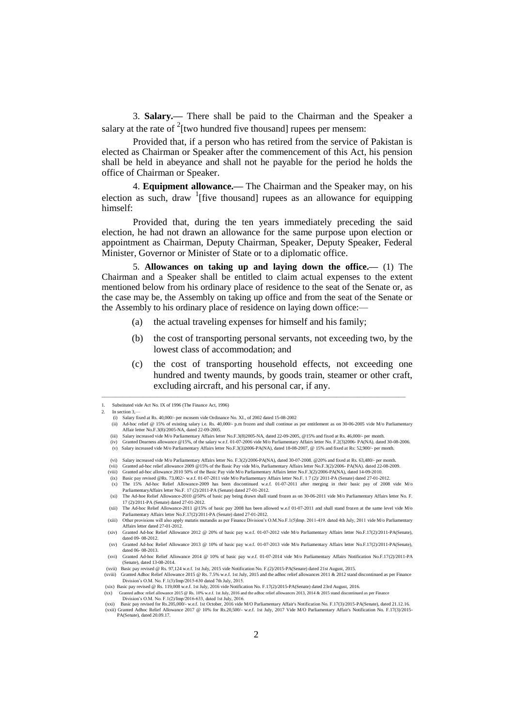3. **Salary.—** There shall be paid to the Chairman and the Speaker a salary at the rate of  $2$ [two hundred five thousand] rupees per mensem:

Provided that, if a person who has retired from the service of Pakistan is elected as Chairman or Speaker after the commencement of this Act, his pension shall be held in abeyance and shall not he payable for the period he holds the office of Chairman or Speaker.

4. **Equipment allowance.—** The Chairman and the Speaker may, on his election as such, draw  $\frac{1}{1}$  [five thousand] rupees as an allowance for equipping himself:

Provided that, during the ten years immediately preceding the said election, he had not drawn an allowance for the same purpose upon election or appointment as Chairman, Deputy Chairman, Speaker, Deputy Speaker, Federal Minister, Governor or Minister of State or to a diplomatic office.

5. **Allowances on taking up and laying down the office.—** (1) The Chairman and a Speaker shall be entitled to claim actual expenses to the extent mentioned below from his ordinary place of residence to the seat of the Senate or, as the case may be, the Assembly on taking up office and from the seat of the Senate or the Assembly to his ordinary place of residence on laying down office:—

- (a) the actual traveling expenses for himself and his family;
- (b) the cost of transporting personal servants, not exceeding two, by the lowest class of accommodation; and
- (c) the cost of transporting household effects, not exceeding one hundred and twenty maunds, by goods train, steamer or other craft, excluding aircraft, and his personal car, if any.

————————————————————————————————————————————

(v) Salary increased vide M/o Parliamentary Affairs letter No.F.3(3)2006-PA(NA), dated 18-08-2007, @ 15% and fixed at Rs: 52,900/- per month.

<sup>1.</sup> Substituted vide Act No. IX of 1996 (The Finance Act, 1996).

<sup>2.</sup> In section 3,—

<sup>(</sup>i) Salary fixed at Rs. 40,000/- per mensem vide Ordinance No. XI., of 2002 dated 15-08-2002<br>(ii) Ad-hoc relief @ 15% of existing salary i.e. Rs. 40,000/- p.m frozen and shall continue as per entitlement as on 30-06-2005 v Affair letter No.F.3(8)/2005-NA, dated 22-09-2005. (iii) Salary increased vide M/o Parliamentary Affairs letter No.F.3(8)2005-NA, dated 22-09-2005, @15% and fixed at Rs. 46,000/- per month.

<sup>(</sup>iv) Granted Dearness allowance @15%, of the salary w.e.f. 01-07-2006 vide M/o Parliamentary Affairs letter No. F.2(3)2006- PA(NA). dated 30-08-2006.

<sup>(</sup>vi) Salary increased vide M/o Parliamentary Affairs letter No. F.3(2)/2006-PA(NA), dated 30-07-2008. @20% and fixed at Rs. 63,480/- per month.

<sup>(</sup>vii) Granted ad-hoc relief allowance 2009 @15% of the Basic Pay vide M/o, Parliamentary Affairs letter No.F.3(2)/2006-PA(NA). dated 22-08-2009.<br>(viii) Granted ad-hoc allowance 2010 50% of the Basic Pay vide M/o Parliament

<sup>(</sup>ix) Basic pay revised @Rs. 73,002/- w.e.f. 01-07-2011 vide M/o Parliamentary Affairs letter No.F. 1 7 (2)/ 2011-PA (Senate) dated 27-01-2012.<br>(x) The 15% Ad-hoc Relief Allowance-2009 has been discontinued w.e.f. 01-07-201

ParliamentaryAffairs letter No.F. 17 (2)/2011-PA (Senate) dated 27-01-2012. (xi) The Ad-hoe Relief Allowance-2010 @50% of basic pay being drawn shall stand frozen as on 30-06-2011 vide M/o Parliamentary Affairs letter No. F.

<sup>17 (2)/2011-</sup>PA (Senate) dated 27-01-2012. (xii) The Ad-hoc Relief Allowance-2011 @15% of basic pay 2008 has been allowed w.e.f 01-07-2011 and shall stand frozen at the same level vide M/o

Parliamentary Affairs letter No.F.17(2)/2011-PA (Senate) dated 27-01-2012. (xiii) Other provisions will also apply matatis mutandis as per Finance Division's O.M.No.F.1(5)Imp. 2011419. dated 4th July, 2011 vide M/o Parliamentary Affairs letter dated 27-01-2012.

<sup>(</sup>xiv) Granted Ad-hoc Relief Allowance 2012 @ 20% of basic pay w.e.f. 01-07-2012 vide M/o Parliamentary Affairs letter No.F.17(2)/2011-PA(Sen dated 09- 08-2012.

<sup>(</sup>xv) Granted Ad-hoc Relief Allowance 2013 @ 10% of basic pay w.e.f. 01-07-2013 vide M/o Parliamentary Affairs letter No.F.17(2)/2011-PA(Senate), dated 06- 08-2013.

<sup>(</sup>xvi) Granted Ad-hoc Relief Allowance 2014 @ 10% of basic pay w.e.f. 01-07-2014 vide M/o Parliamentary Affairs Notification No.F.17(2)/2011-PA (Senate), dated 13-08-2014.

<sup>(</sup>xvii) Basic pay revised @ Rs. 97,124 w.e.f. 1st July, 2015 vide Notification No. F.(2)/2015-PA(Senate) dated 21st August, 2015.<br>(xviii) Granted Adhoc Relief Allowance 2015 @ Rs. 7.5% w.e.f. 1st July, 2015 and the adhoc re Division's O.M. No.  $F.1(3)/Imp/2015-630$  dated 7th July, 2015.

<sup>(</sup>xix) Basic pay revised @ Rs. 119,008 w.e.f. 1st July, 2016 vide Notification No. F.17(2)/2015-PA(Senate) dated 23rd August, 2016.<br>(xx) Granted adhoc relief allowance 2015 @ Rs. 10% w.e.f. 1st July, 2016 and the adhoc rel

<sup>(</sup>xx) Granted at the conjunct and allows and the continuum and the continuum of the conjunction and the adhoc relief allowances 2013, 2014 & 2015 stand discontinued as per Finance 2015 @ Rs. 10% w.e.f. 1st July, 2016 and th Division's O.M. No. F.1(2)/Imp/2016-633, dated 1st July, 2016.

<sup>(</sup>xxi) Basic pay revised for Rs.205,000/- w.e.f. 1st October, 2016 vide M/O Parliamentary Affair's Notification No. F.17(3)/2015-PA(Senate), dated 21.12.16.<br>(xxii) Granted Adhoc Relief Allowance 2017 @ 10% for Rs.20,500/- w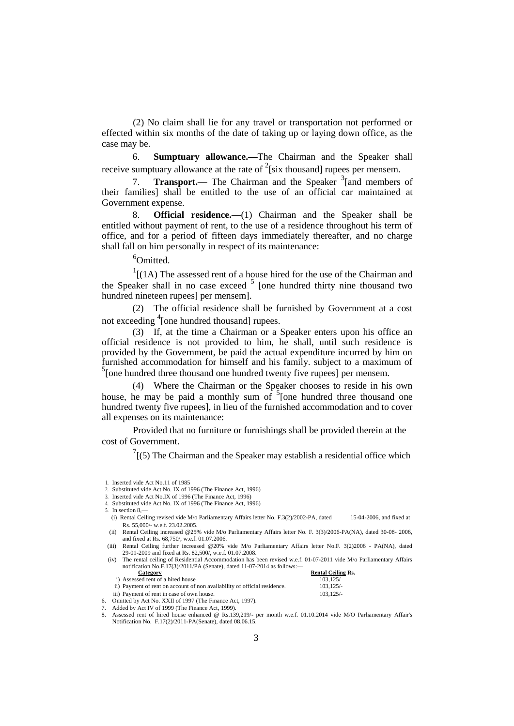(2) No claim shall lie for any travel or transportation not performed or effected within six months of the date of taking up or laying down office, as the case may be.

6. **Sumptuary allowance.—**The Chairman and the Speaker shall receive sumptuary allowance at the rate of  $2$ [six thousand] rupees per mensem.

7. **Transport.** The Chairman and the Speaker <sup>3</sup> [and members of their families] shall be entitled to the use of an official car maintained at Government expense.

8. **Official residence.—**(1) Chairman and the Speaker shall be entitled without payment of rent, to the use of a residence throughout his term of office, and for a period of fifteen days immediately thereafter, and no charge shall fall on him personally in respect of its maintenance:

<sup>6</sup>Omitted.

 $1$ [(1A) The assessed rent of a house hired for the use of the Chairman and the Speaker shall in no case exceed  $5$  [one hundred thirty nine thousand two hundred nineteen rupees] per mensem].

(2) The official residence shall be furnished by Government at a cost not exceeding <sup>4</sup> [one hundred thousand] rupees.

(3) If, at the time a Chairman or a Speaker enters upon his office an official residence is not provided to him, he shall, until such residence is provided by the Government, be paid the actual expenditure incurred by him on furnished accommodation for himself and his family. subject to a maximum of  $5$ [one hundred three thousand one hundred twenty five rupees] per mensem.

(4) Where the Chairman or the Speaker chooses to reside in his own house, he may be paid a monthly sum of  $5$  [one hundred three thousand one hundred twenty five rupees], in lieu of the furnished accommodation and to cover all expenses on its maintenance:

Provided that no furniture or furnishings shall be provided therein at the cost of Government.

—————————————————————————————————————————————————————

 $7(5)$  The Chairman and the Speaker may establish a residential office which

i) Assessed rent of a hired house<br>
ii) Payment of rent on account of non availability of official residence.  $103,125/$ ii) Payment of rent on account of non availability of official residence.

| iii) Payment of rent in case of own house.                  | $103.125/-$ |
|-------------------------------------------------------------|-------------|
| 6. Omitted by Act No. XXII of 1997 (The Finance Act. 1997). |             |

<sup>1.</sup> Inserted vide Act No.11 of 1985 2. Substituted vide Act No. IX of 1996 (The Finance Act, 1996)

<sup>3.</sup> Inserted vide Act No.IX of 1996 (The Finance Act, 1996)

<sup>4.</sup> Substituted vide Act No. IX of 1996 (The Finance Act, 1996)

<sup>5.</sup> In section 8,—

<sup>(</sup>i) Rental Ceiling revised vide M/o Parliamentary Affairs letter No. F.3(2)/2002-PA, dated 15-04-2006, and fixed at Rs. 55,000/- w.e.f. 23.02.2005.

<sup>(</sup>ii) Rental Ceiling increased @25% vide M/o Parliamentary Affairs letter No. F. 3(3)/2006-PA(NA), dated 30-08- 2006, and fixed at Rs. 68,750/, w.e.f. 01.07.2006.

<sup>(</sup>iii) Rental Ceiling further increased @20% vide M/o Parliamentary Affairs letter No.F. 3(2)2006 - PA(NA), dated 29-01-2009 and fixed at Rs. 82,500/, w.e.f. 01.07.2008.

<sup>(</sup>iv) The rental ceiling of Residential Accommodation has been revised w.e.f. 01-07-2011 vide M/o Parliamentary Affairs notification No.F.17(3)/2011/PA (Senate), dated 11-07-2014 as follows:-<br>Category **Rental Ceiling Rs.** 

Added by Act IV of 1999 (The Finance Act, 1999).

<sup>8.</sup> Assessed rent of hired house enhanced @ Rs.139,219/- per month w.e.f. 01.10.2014 vide M/O Parliamentary Affair's Notification No. F.17(2)/2011-PA(Senate), dated 08.06.15.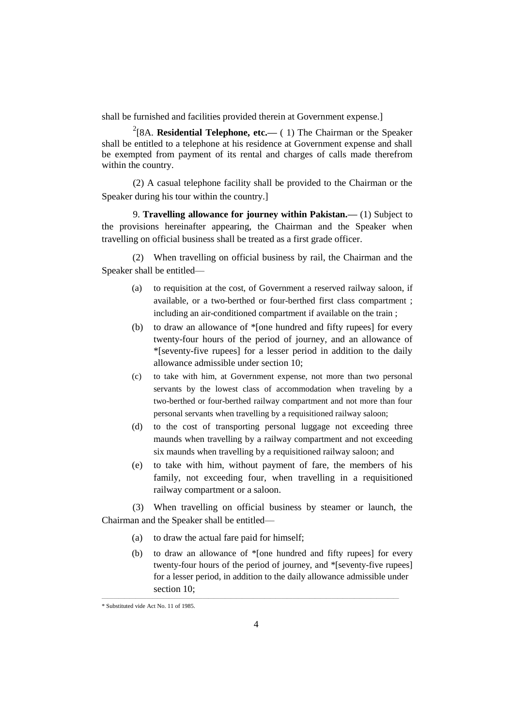shall be furnished and facilities provided therein at Government expense.]

<sup>2</sup>[8A. **Residential Telephone, etc.**— (1) The Chairman or the Speaker shall be entitled to a telephone at his residence at Government expense and shall be exempted from payment of its rental and charges of calls made therefrom within the country.

(2) A casual telephone facility shall be provided to the Chairman or the Speaker during his tour within the country.]

9. **Travelling allowance for journey within Pakistan.—** (1) Subject to the provisions hereinafter appearing, the Chairman and the Speaker when travelling on official business shall be treated as a first grade officer.

(2) When travelling on official business by rail, the Chairman and the Speaker shall be entitled—

- (a) to requisition at the cost, of Government a reserved railway saloon, if available, or a two-berthed or four-berthed first class compartment ; including an air-conditioned compartment if available on the train ;
- (b) to draw an allowance of \*[one hundred and fifty rupees] for every twenty-four hours of the period of journey, and an allowance of \*[seventy-five rupees] for a lesser period in addition to the daily allowance admissible under section 10;
- (c) to take with him, at Government expense, not more than two personal servants by the lowest class of accommodation when traveling by a two-berthed or four-berthed railway compartment and not more than four personal servants when travelling by a requisitioned railway saloon;
- (d) to the cost of transporting personal luggage not exceeding three maunds when travelling by a railway compartment and not exceeding six maunds when travelling by a requisitioned railway saloon; and
- (e) to take with him, without payment of fare, the members of his family, not exceeding four, when travelling in a requisitioned railway compartment or a saloon.

(3) When travelling on official business by steamer or launch, the Chairman and the Speaker shall be entitled—

- (a) to draw the actual fare paid for himself;
- (b) to draw an allowance of \*[one hundred and fifty rupees] for every twenty-four hours of the period of journey, and \*[seventy-five rupees] for a lesser period, in addition to the daily allowance admissible under section 10;

—————————————————————————————————————————————————————

<sup>\*</sup> Substituted vide Act No. 11 of 1985.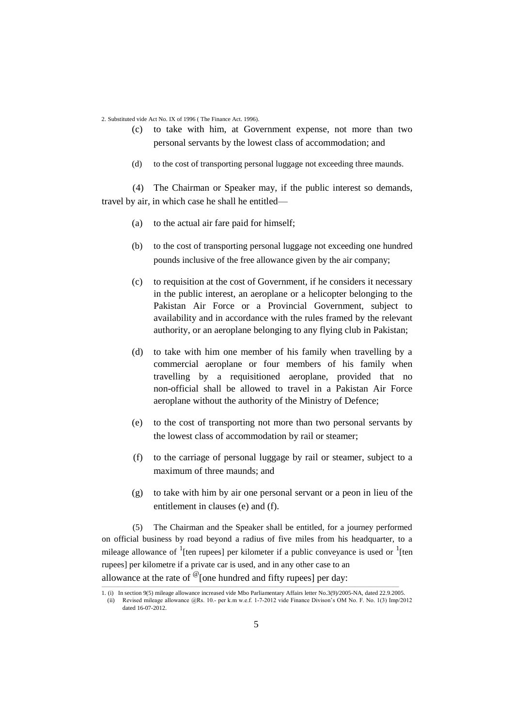2. Substituted vide Act No. IX of 1996 ( The Finance Act. 1996).

- (c) to take with him, at Government expense, not more than two personal servants by the lowest class of accommodation; and
- (d) to the cost of transporting personal luggage not exceeding three maunds.

(4) The Chairman or Speaker may, if the public interest so demands, travel by air, in which case he shall he entitled—

- (a) to the actual air fare paid for himself;
- (b) to the cost of transporting personal luggage not exceeding one hundred pounds inclusive of the free allowance given by the air company;
- (c) to requisition at the cost of Government, if he considers it necessary in the public interest, an aeroplane or a helicopter belonging to the Pakistan Air Force or a Provincial Government, subject to availability and in accordance with the rules framed by the relevant authority, or an aeroplane belonging to any flying club in Pakistan;
- (d) to take with him one member of his family when travelling by a commercial aeroplane or four members of his family when travelling by a requisitioned aeroplane, provided that no non-official shall be allowed to travel in a Pakistan Air Force aeroplane without the authority of the Ministry of Defence;
- (e) to the cost of transporting not more than two personal servants by the lowest class of accommodation by rail or steamer;
- (f) to the carriage of personal luggage by rail or steamer, subject to a maximum of three maunds; and
- (g) to take with him by air one personal servant or a peon in lieu of the entitlement in clauses (e) and (f).

(5) The Chairman and the Speaker shall be entitled, for a journey performed on official business by road beyond a radius of five miles from his headquarter, to a mileage allowance of  $\frac{1}{1}$  [ten rupees] per kilometer if a public conveyance is used or  $\frac{1}{1}$  [ten rupees] per kilometre if a private car is used, and in any other case to an allowance at the rate of  $\mathcal{O}_\text{I}$  one hundred and fifty rupees] per day:

<sup>—————————————————————————————————————————————————————</sup> 1. (i) In section 9(5) mileage allowance increased vide Mbo Parliamentary Affairs letter No.3(9)/2005-NA, dated 22.9.2005. (ii) Revised mileage allowance @Rs. 10. per k.m w.e.f. 172012 vide Finance Divison's OM No. F. No. 1(3) Imp/2012 dated 16-07-2012.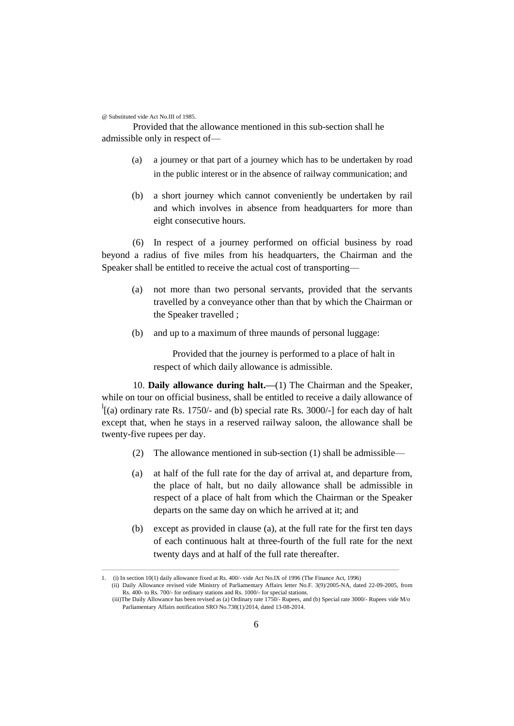@ Substituted vide Act No.III of 1985.

Provided that the allowance mentioned in this sub-section shall he admissible only in respect of—

- (a) a journey or that part of a journey which has to be undertaken by road in the public interest or in the absence of railway communication; and
- (b) a short journey which cannot conveniently be undertaken by rail and which involves in absence from headquarters for more than eight consecutive hours.

(6) In respect of a journey performed on official business by road beyond a radius of five miles from his headquarters, the Chairman and the Speaker shall be entitled to receive the actual cost of transporting—

- (a) not more than two personal servants, provided that the servants travelled by a conveyance other than that by which the Chairman or the Speaker travelled ;
- (b) and up to a maximum of three maunds of personal luggage:

Provided that the journey is performed to a place of halt in respect of which daily allowance is admissible.

10. **Daily allowance during halt.—**(1) The Chairman and the Speaker, while on tour on official business, shall be entitled to receive a daily allowance of  $\frac{1}{1}$ [(a) ordinary rate Rs. 1750/- and (b) special rate Rs. 3000/-] for each day of halt except that, when he stays in a reserved railway saloon, the allowance shall be twenty-five rupees per day.

- (2) The allowance mentioned in sub-section (1) shall be admissible—
- (a) at half of the full rate for the day of arrival at, and departure from, the place of halt, but no daily allowance shall be admissible in respect of a place of halt from which the Chairman or the Speaker departs on the same day on which he arrived at it; and
- (b) except as provided in clause (a), at the full rate for the first ten days of each continuous halt at three-fourth of the full rate for the next twenty days and at half of the full rate thereafter.

—————————————————————————————————————————————————————

<sup>1.</sup> (i) In section 10(1) daily allowance fixed at Rs. 400/- vide Act No.IX of 1996 (The Finance Act, 1996)

<sup>(</sup>ii) Daily Allowance revised vide Ministry of Parliamentary Affairs letter No.F. 3(9)/2005-NA, dated 22-09-2005, from Rs. 400- to Rs. 700/- for ordinary stations and Rs. 1000/- for special stations. (iii)The Daily Allowance has been revised as (a) Ordinary rate 1750/- Rupees, and (b) Special rate 3000/- Rupees vide M/o

Parliamentary Affairs notification SRO No.738(1)/2014, dated 13-08-2014.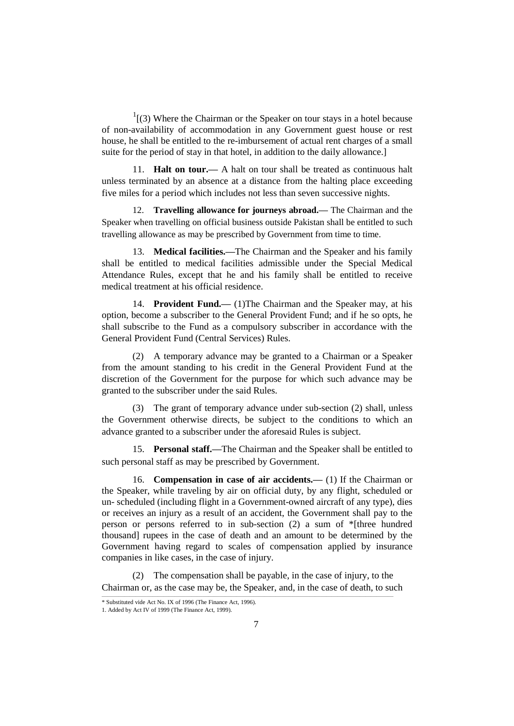$1(3)$  Where the Chairman or the Speaker on tour stays in a hotel because of non-availability of accommodation in any Government guest house or rest house, he shall be entitled to the re-imbursement of actual rent charges of a small suite for the period of stay in that hotel, in addition to the daily allowance.]

11. **Halt on tour.—** A halt on tour shall be treated as continuous halt unless terminated by an absence at a distance from the halting place exceeding five miles for a period which includes not less than seven successive nights.

12. **Travelling allowance for journeys abroad.—** The Chairman and the Speaker when travelling on official business outside Pakistan shall be entitled to such travelling allowance as may be prescribed by Government from time to time.

13. **Medical facilities.—**The Chairman and the Speaker and his family shall be entitled to medical facilities admissible under the Special Medical Attendance Rules, except that he and his family shall be entitled to receive medical treatment at his official residence.

14. **Provident Fund.—** (1)The Chairman and the Speaker may, at his option, become a subscriber to the General Provident Fund; and if he so opts, he shall subscribe to the Fund as a compulsory subscriber in accordance with the General Provident Fund (Central Services) Rules.

(2) A temporary advance may be granted to a Chairman or a Speaker from the amount standing to his credit in the General Provident Fund at the discretion of the Government for the purpose for which such advance may be granted to the subscriber under the said Rules.

(3) The grant of temporary advance under sub-section (2) shall, unless the Government otherwise directs, be subject to the conditions to which an advance granted to a subscriber under the aforesaid Rules is subject.

15. **Personal staff.—**The Chairman and the Speaker shall be entitled to such personal staff as may be prescribed by Government.

16. **Compensation in case of air accidents.—** (1) If the Chairman or the Speaker, while traveling by air on official duty, by any flight, scheduled or un- scheduled (including flight in a Government-owned aircraft of any type), dies or receives an injury as a result of an accident, the Government shall pay to the person or persons referred to in sub-section (2) a sum of \*[three hundred thousand] rupees in the case of death and an amount to be determined by the Government having regard to scales of compensation applied by insurance companies in like cases, in the case of injury.

(2) The compensation shall be payable, in the case of injury, to the Chairman or, as the case may be, the Speaker, and, in the case of death, to such

<sup>\*</sup> Substituted vide Act No. IX of 1996 (The Finance Act, 1996).

<sup>1.</sup> Added by Act IV of 1999 (The Finance Act, 1999).